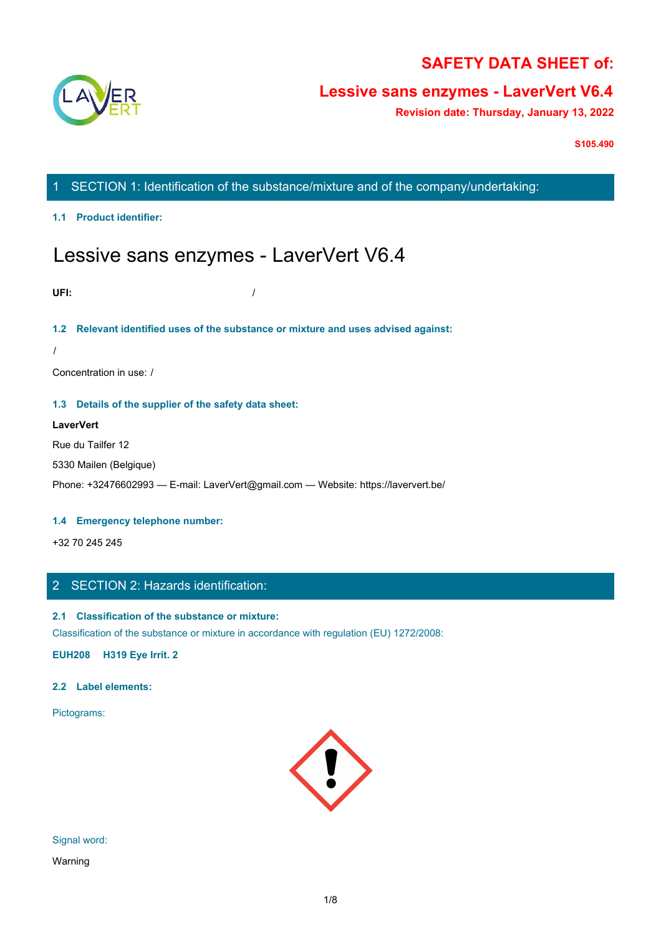

# **SAFETY DATA SHEET of:**

# **Lessive sans enzymes - LaverVert V6.4**

**Revision date: Thursday, January 13, 2022**

**S105.490**

# 1 SECTION 1: Identification of the substance/mixture and of the company/undertaking:

### **1.1 Product identifier:**

# Lessive sans enzymes - LaverVert V6.4

**UFI:** /

## **1.2 Relevant identified uses of the substance or mixture and uses advised against:**

/

Concentration in use: /

## **1.3 Details of the supplier of the safety data sheet:**

### **LaverVert**

Rue du Tailfer 12

5330 Mailen (Belgique)

Phone: +32476602993 — E-mail: LaverVert@gmail.com — Website: https://laververt.be/

#### **1.4 Emergency telephone number:**

+32 70 245 245

# 2 SECTION 2: Hazards identification:

# **2.1 Classification of the substance or mixture:**

Classification of the substance or mixture in accordance with regulation (EU) 1272/2008:

**EUH208 H319 Eye Irrit. 2**

### **2.2 Label elements:**

Pictograms:



Signal word:

Warning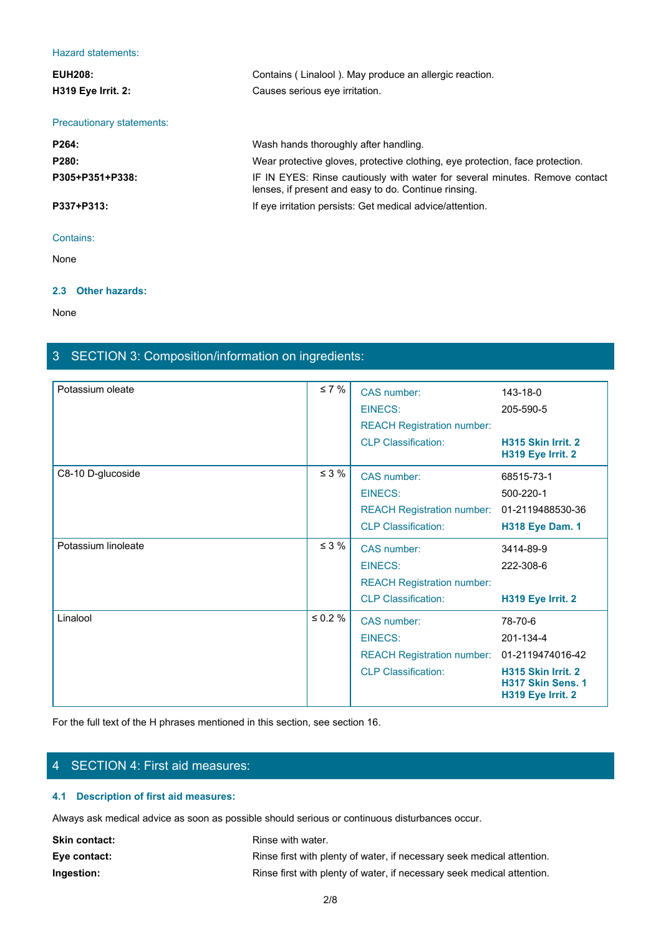#### Hazard statements:

| <b>EUH208:</b><br><b>H319 Eye Irrit. 2:</b> | Contains (Linalool). May produce an allergic reaction.<br>Causes serious eye irritation.                                            |
|---------------------------------------------|-------------------------------------------------------------------------------------------------------------------------------------|
|                                             |                                                                                                                                     |
| <b>Precautionary statements:</b>            |                                                                                                                                     |
| P264:                                       | Wash hands thoroughly after handling.                                                                                               |
| P280:                                       | Wear protective gloves, protective clothing, eye protection, face protection.                                                       |
| P305+P351+P338:                             | IF IN EYES: Rinse cautiously with water for several minutes. Remove contact<br>lenses, if present and easy to do. Continue rinsing. |
| P337+P313:                                  | If eye irritation persists: Get medical advice/attention.                                                                           |
| Contains:                                   |                                                                                                                                     |

None with the contract of the contract of the contract of the contract of the contract of the contract of the contract of the contract of the contract of the contract of the contract of the contract of the contract of the

#### **2.3 Other hazards:**

None with the contract of the contract of the contract of the contract of the contract of the contract of the contract of the contract of the contract of the contract of the contract of the contract of the contract of the

# 3 SECTION 3: Composition/information on ingredients:

| $\leq 7\%$    | CAS number:                       | 143-18-0                                                               |
|---------------|-----------------------------------|------------------------------------------------------------------------|
|               | <b>EINECS:</b>                    | 205-590-5                                                              |
|               | <b>REACH Registration number:</b> |                                                                        |
|               | <b>CLP Classification:</b>        | H315 Skin Irrit. 2<br>H319 Eye Irrit. 2                                |
| $\leq$ 3 %    | CAS number:                       | 68515-73-1                                                             |
|               | EINECS:                           | 500-220-1                                                              |
|               |                                   | 01-2119488530-36                                                       |
|               | <b>CLP Classification:</b>        | <b>H318 Eye Dam. 1</b>                                                 |
| $\leq$ 3 %    | CAS number:                       | 3414-89-9                                                              |
|               | EINECS:                           | 222-308-6                                                              |
|               | <b>REACH Registration number:</b> |                                                                        |
|               | <b>CLP Classification:</b>        | H319 Eye Irrit. 2                                                      |
| $\leq 0.2 \%$ | CAS number:                       | 78-70-6                                                                |
|               | EINECS:                           | 201-134-4                                                              |
|               |                                   | 01-2119474016-42                                                       |
|               | <b>CLP Classification:</b>        | H315 Skin Irrit. 2<br>H317 Skin Sens. 1<br>H319 Eye Irrit. 2           |
|               |                                   | <b>REACH Registration number:</b><br><b>REACH Registration number:</b> |

For the full text of the H phrases mentioned in this section, see section 16.

# 4 SECTION 4: First aid measures:

# **4.1 Description of first aid measures:**

Always ask medical advice as soon as possible should serious or continuous disturbances occur.

| <b>Skin contact:</b> | Rinse with water.                                                      |
|----------------------|------------------------------------------------------------------------|
| Eye contact:         | Rinse first with plenty of water, if necessary seek medical attention. |
| Ingestion:           | Rinse first with plenty of water, if necessary seek medical attention. |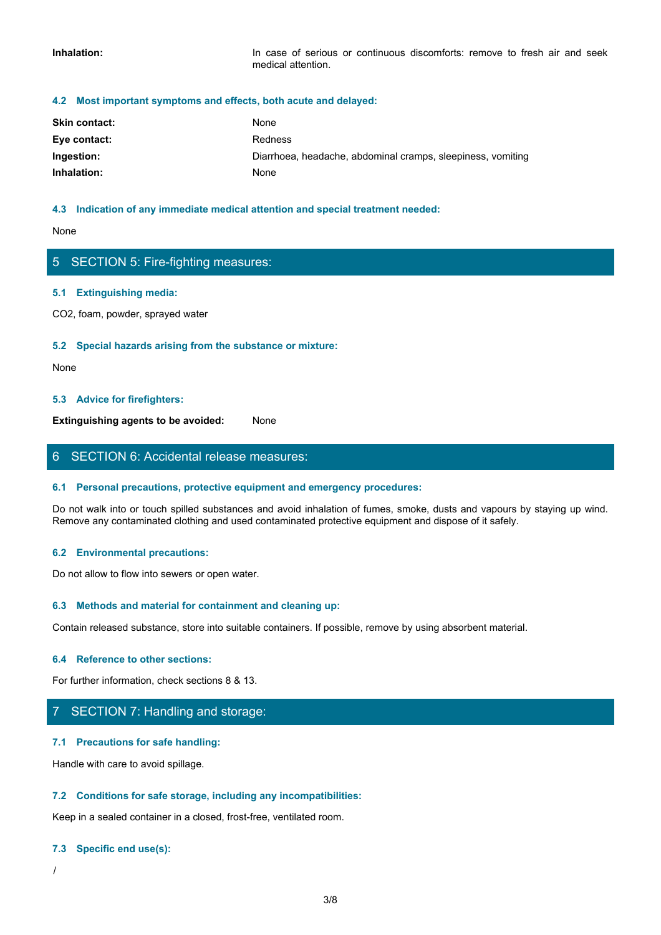#### **4.2 Most important symptoms and effects, both acute and delayed:**

| Inhalation:                                                      | In case of serious or continuous discomforts: remove to fresh air and seek<br>medical attention. |  |
|------------------------------------------------------------------|--------------------------------------------------------------------------------------------------|--|
| 4.2 Most important symptoms and effects, both acute and delayed: |                                                                                                  |  |
| Skin contact:                                                    | None                                                                                             |  |
| Eye contact:                                                     | Redness                                                                                          |  |
| Ingestion:                                                       | Diarrhoea, headache, abdominal cramps, sleepiness, vomiting                                      |  |
| Inhalation:                                                      | None                                                                                             |  |

#### **4.3 Indication of any immediate medical attention and special treatment needed:**

None with the contract of the contract of the contract of the contract of the contract of the contract of the contract of the contract of the contract of the contract of the contract of the contract of the contract of the

# 5 SECTION 5: Fire-fighting measures:

#### **5.1 Extinguishing media:**

CO2, foam, powder, sprayed water

#### **5.2 Special hazards arising from the substance or mixture:**

None with the contract of the contract of the contract of the contract of the contract of the contract of the contract of the contract of the contract of the contract of the contract of the contract of the contract of the

#### **5.3 Advice for firefighters:**

**Extinguishing agents to be avoided:** None

## 6 SECTION 6: Accidental release measures:

#### **6.1 Personal precautions, protective equipment and emergency procedures:**

Do not walk into or touch spilled substances and avoid inhalation of fumes, smoke, dusts and vapours by staying up wind. Remove any contaminated clothing and used contaminated protective equipment and dispose of it safely.

#### **6.2 Environmental precautions:**

Do not allow to flow into sewers or open water.

#### **6.3 Methods and material for containment and cleaning up:**

Contain released substance, store into suitable containers. If possible, remove by using absorbent material.

#### **6.4 Reference to other sections:**

For further information, check sections 8 & 13.

## 7 SECTION 7: Handling and storage:

#### **7.1 Precautions for safe handling:**

Handle with care to avoid spillage.

#### **7.2 Conditions for safe storage, including any incompatibilities:**

Keep in a sealed container in a closed, frost-free, ventilated room.

#### **7.3 Specific end use(s):**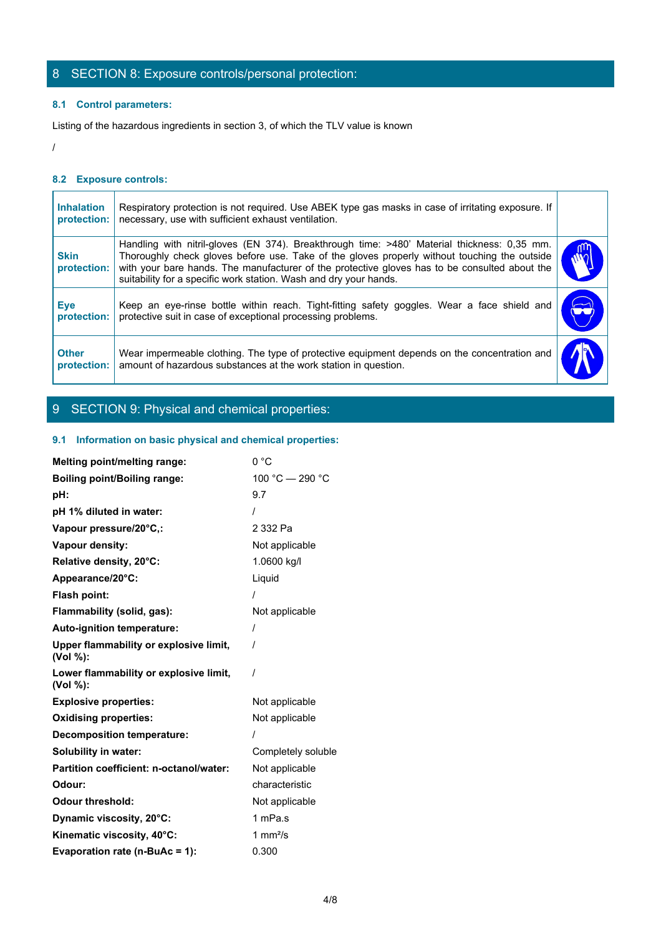# 8 SECTION 8: Exposure controls/personal protection:

## **8.1 Control parameters:**

## **8.2 Exposure controls:**

| 8 SECTION 8: Exposure controls/personal protection:<br>8.1 Control parameters:<br>Listing of the hazardous ingredients in section 3, of which the TLV value is known<br>8.2 Exposure controls:<br>Respiratory protection is not required. Use ABEK type gas masks in case of irritating exposure. If<br><b>Inhalation</b><br>necessary, use with sufficient exhaust ventilation.<br>protection:<br>Handling with nitril-gloves (EN 374). Breakthrough time: >480' Material thickness: 0,35 mm.<br>Thoroughly check gloves before use. Take of the gloves properly without touching the outside<br><b>Skin</b><br>with your bare hands. The manufacturer of the protective gloves has to be consulted about the<br>protection:<br>suitability for a specific work station. Wash and dry your hands.<br>Keep an eye-rinse bottle within reach. Tight-fitting safety goggles. Wear a face shield and<br>Eye<br>protective suit in case of exceptional processing problems.<br>protection: |
|----------------------------------------------------------------------------------------------------------------------------------------------------------------------------------------------------------------------------------------------------------------------------------------------------------------------------------------------------------------------------------------------------------------------------------------------------------------------------------------------------------------------------------------------------------------------------------------------------------------------------------------------------------------------------------------------------------------------------------------------------------------------------------------------------------------------------------------------------------------------------------------------------------------------------------------------------------------------------------------|
|                                                                                                                                                                                                                                                                                                                                                                                                                                                                                                                                                                                                                                                                                                                                                                                                                                                                                                                                                                                        |
|                                                                                                                                                                                                                                                                                                                                                                                                                                                                                                                                                                                                                                                                                                                                                                                                                                                                                                                                                                                        |
|                                                                                                                                                                                                                                                                                                                                                                                                                                                                                                                                                                                                                                                                                                                                                                                                                                                                                                                                                                                        |
|                                                                                                                                                                                                                                                                                                                                                                                                                                                                                                                                                                                                                                                                                                                                                                                                                                                                                                                                                                                        |
|                                                                                                                                                                                                                                                                                                                                                                                                                                                                                                                                                                                                                                                                                                                                                                                                                                                                                                                                                                                        |
|                                                                                                                                                                                                                                                                                                                                                                                                                                                                                                                                                                                                                                                                                                                                                                                                                                                                                                                                                                                        |
|                                                                                                                                                                                                                                                                                                                                                                                                                                                                                                                                                                                                                                                                                                                                                                                                                                                                                                                                                                                        |
|                                                                                                                                                                                                                                                                                                                                                                                                                                                                                                                                                                                                                                                                                                                                                                                                                                                                                                                                                                                        |
|                                                                                                                                                                                                                                                                                                                                                                                                                                                                                                                                                                                                                                                                                                                                                                                                                                                                                                                                                                                        |
|                                                                                                                                                                                                                                                                                                                                                                                                                                                                                                                                                                                                                                                                                                                                                                                                                                                                                                                                                                                        |
|                                                                                                                                                                                                                                                                                                                                                                                                                                                                                                                                                                                                                                                                                                                                                                                                                                                                                                                                                                                        |
|                                                                                                                                                                                                                                                                                                                                                                                                                                                                                                                                                                                                                                                                                                                                                                                                                                                                                                                                                                                        |
|                                                                                                                                                                                                                                                                                                                                                                                                                                                                                                                                                                                                                                                                                                                                                                                                                                                                                                                                                                                        |
| Wear impermeable clothing. The type of protective equipment depends on the concentration and<br><b>Other</b><br>amount of hazardous substances at the work station in question.<br>protection:                                                                                                                                                                                                                                                                                                                                                                                                                                                                                                                                                                                                                                                                                                                                                                                         |

# 9 SECTION 9: Physical and chemical properties:

## **9.1 Information on basic physical and chemical properties:**

| <b>Melting point/melting range:</b>                | 0 °C               |
|----------------------------------------------------|--------------------|
| <b>Boiling point/Boiling range:</b>                | 100 °C - 290 °C    |
| pH:                                                | 9.7                |
| pH 1% diluted in water:                            |                    |
| Vapour pressure/20°C,:                             | 2 332 Pa           |
| Vapour density:                                    | Not applicable     |
| Relative density, 20°C:                            | 1.0600 kg/l        |
| Appearance/20°C:                                   | Liquid             |
| Flash point:                                       |                    |
| Flammability (solid, gas):                         | Not applicable     |
| Auto-ignition temperature:                         |                    |
| Upper flammability or explosive limit,<br>(Vol %): |                    |
| Lower flammability or explosive limit,<br>(Vol %): | $\prime$           |
| <b>Explosive properties:</b>                       | Not applicable     |
| <b>Oxidising properties:</b>                       | Not applicable     |
| <b>Decomposition temperature:</b>                  |                    |
| Solubility in water:                               | Completely soluble |
| Partition coefficient: n-octanol/water:            | Not applicable     |
| Odour:                                             | characteristic     |
| <b>Odour threshold:</b>                            | Not applicable     |
| Dynamic viscosity, 20°C:                           | 1 mPa.s            |
| Kinematic viscosity, 40°C:                         | 1 $mm2/s$          |
| Evaporation rate (n-BuAc = 1):                     | 0.300              |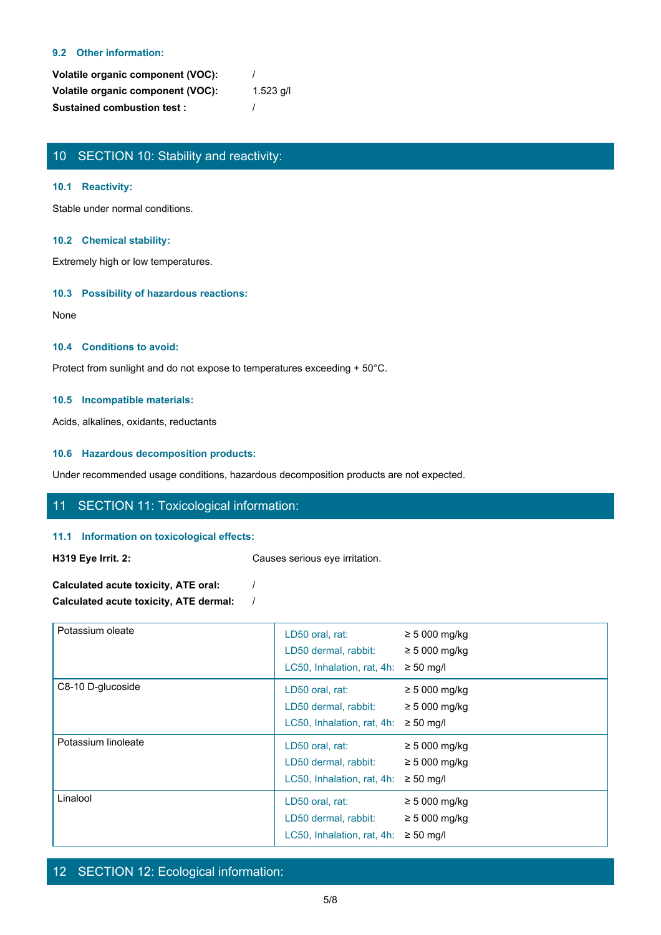#### **9.2 Other information:**

| Volatile organic component (VOC): |           |
|-----------------------------------|-----------|
| Volatile organic component (VOC): | 1.523 g/l |
| <b>Sustained combustion test:</b> |           |

# 10 SECTION 10: Stability and reactivity:

#### **10.1 Reactivity:**

Stable under normal conditions.

#### **10.2 Chemical stability:**

Extremely high or low temperatures.

#### **10.3 Possibility of hazardous reactions:**

None with the contract of the contract of the contract of the contract of the contract of the contract of the contract of the contract of the contract of the contract of the contract of the contract of the contract of the

#### **10.4 Conditions to avoid:**

Protect from sunlight and do not expose to temperatures exceeding + 50°C.

#### **10.5 Incompatible materials:**

Acids, alkalines, oxidants, reductants

#### **10.6 Hazardous decomposition products:**

Under recommended usage conditions, hazardous decomposition products are not expected.

## 11 SECTION 11: Toxicological information:

#### **11.1 Information on toxicological effects:**

**H319 Eye Irrit. 2:** Causes serious eye irritation.

| Calculated acute toxicity, ATE oral:   |  |
|----------------------------------------|--|
| Calculated acute toxicity, ATE dermal: |  |

| Potassium oleate    | LD50 oral, rat:<br>LD50 dermal, rabbit:<br>LC50, Inhalation, rat, 4h: | $\geq$ 5 000 mg/kg<br>$\geq$ 5 000 mg/kg<br>$\geq 50$ mg/l |  |
|---------------------|-----------------------------------------------------------------------|------------------------------------------------------------|--|
| C8-10 D-glucoside   | LD50 oral, rat:<br>LD50 dermal, rabbit:<br>LC50, Inhalation, rat, 4h: | $\geq$ 5 000 mg/kg<br>$\geq$ 5 000 mg/kg<br>$\geq 50$ mg/l |  |
| Potassium linoleate | LD50 oral, rat:<br>LD50 dermal, rabbit:<br>LC50, Inhalation, rat, 4h: | $\geq$ 5 000 mg/kg<br>$\geq$ 5 000 mg/kg<br>$\geq 50$ mg/l |  |
| Linalool            | LD50 oral, rat:<br>LD50 dermal, rabbit:<br>LC50, Inhalation, rat, 4h: | $\geq$ 5 000 mg/kg<br>$\geq$ 5 000 mg/kg<br>$\geq 50$ mg/l |  |

# 12 SECTION 12: Ecological information: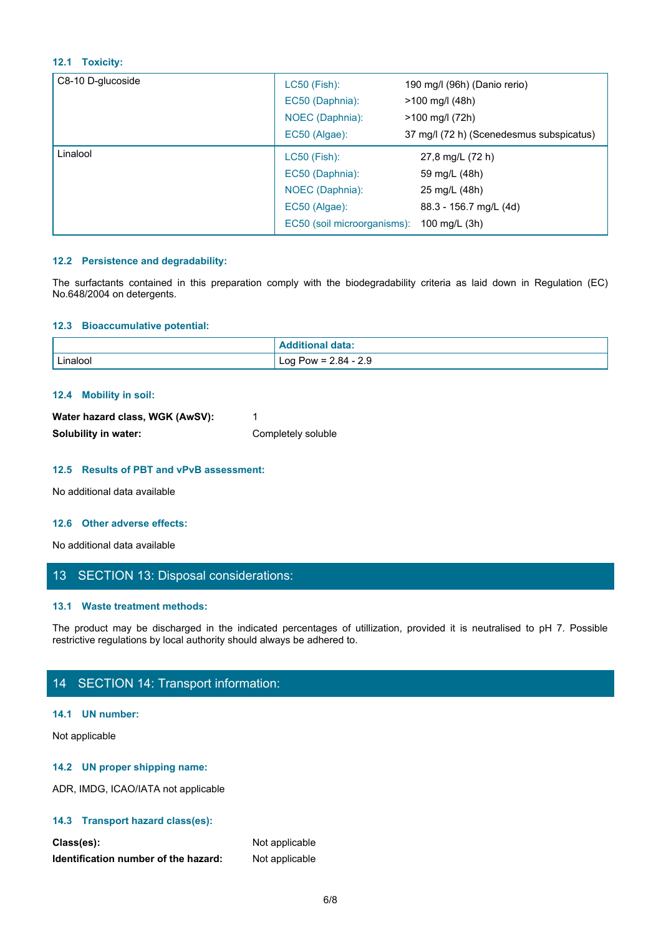#### **12.1 Toxicity:**

| 37 mg/l (72 h) (Scenedesmus subspicatus) |
|------------------------------------------|
|                                          |
|                                          |
|                                          |
|                                          |
|                                          |
|                                          |

#### **12.2 Persistence and degradability:**

#### **12.3 Bioaccumulative potential:**

| No.648/2004 on detergents.                                                                                                                                                                                                            |                                                                                                                          |  |  |
|---------------------------------------------------------------------------------------------------------------------------------------------------------------------------------------------------------------------------------------|--------------------------------------------------------------------------------------------------------------------------|--|--|
| 12.3 Bioaccumulative potential:                                                                                                                                                                                                       |                                                                                                                          |  |  |
|                                                                                                                                                                                                                                       | <b>Additional data:</b>                                                                                                  |  |  |
| Linalool                                                                                                                                                                                                                              | Log Pow = $2.84 - 2.9$                                                                                                   |  |  |
| 12.4 Mobility in soil:                                                                                                                                                                                                                |                                                                                                                          |  |  |
| Water hazard class, WGK (AwSV):                                                                                                                                                                                                       | 1                                                                                                                        |  |  |
| Solubility in water:                                                                                                                                                                                                                  | Completely soluble                                                                                                       |  |  |
| 12.5 Results of PBT and vPvB assessment:                                                                                                                                                                                              |                                                                                                                          |  |  |
| No additional data available                                                                                                                                                                                                          |                                                                                                                          |  |  |
| 12.6 Other adverse effects:                                                                                                                                                                                                           |                                                                                                                          |  |  |
| No additional data available                                                                                                                                                                                                          |                                                                                                                          |  |  |
| 13 SECTION 13: Disposal considerations:                                                                                                                                                                                               |                                                                                                                          |  |  |
| 13.1 Waste treatment methods:                                                                                                                                                                                                         |                                                                                                                          |  |  |
| restrictive regulations by local authority should always be adhered to.                                                                                                                                                               | The product may be discharged in the indicated percentages of utillization, provided it is neutralised to pH 7. Possible |  |  |
| 14 SECTION 14: Transport information:                                                                                                                                                                                                 |                                                                                                                          |  |  |
| $\mathbf{A}$ and $\mathbf{A}$ are associated as a set of the set of the set of the set of the set of the set of the set of the set of the set of the set of the set of the set of the set of the set of the set of the set of the set |                                                                                                                          |  |  |

#### **12.4 Mobility in soil:**

| Water hazard class, WGK (AwSV): |                    |
|---------------------------------|--------------------|
| Solubility in water:            | Completely soluble |

#### **12.5 Results of PBT and vPvB assessment:**

#### **12.6 Other adverse effects:**

## 13 SECTION 13: Disposal considerations:

#### **13.1 Waste treatment methods:**

# 14 SECTION 14: Transport information:

#### **14.1 UN number:**

Not applicable

### **14.2 UN proper shipping name:**

ADR, IMDG, ICAO/IATA not applicable

### **14.3 Transport hazard class(es):**

| Class(es):                           | Not applicable |
|--------------------------------------|----------------|
| Identification number of the hazard: | Not applicable |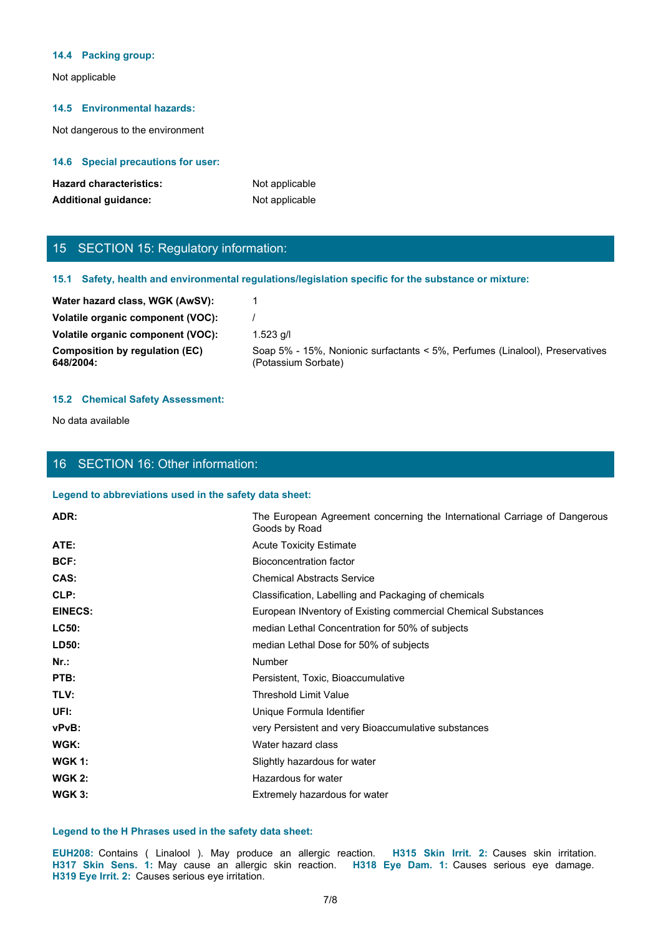#### **14.4 Packing group:**

Not applicable

#### **14.5 Environmental hazards:**

Not dangerous to the environment

#### **14.6 Special precautions for user:**

| <b>Hazard characteristics:</b> | Not applicable |
|--------------------------------|----------------|
| <b>Additional guidance:</b>    | Not applicable |

# 15 SECTION 15: Regulatory information:

#### **15.1 Safety, health and environmental regulations/legislation specific for the substance or mixture:**

| Water hazard class, WGK (AwSV):             |                                                                                                     |
|---------------------------------------------|-----------------------------------------------------------------------------------------------------|
| Volatile organic component (VOC):           |                                                                                                     |
| Volatile organic component (VOC):           | 1.523 a/l                                                                                           |
| Composition by regulation (EC)<br>648/2004: | Soap 5% - 15%, Nonionic surfactants < 5%, Perfumes (Linalool), Preservatives<br>(Potassium Sorbate) |
|                                             |                                                                                                     |

#### **15.2 Chemical Safety Assessment:**

No data available

#### 16 SECTION 16: Other information:

#### **Legend to abbreviations used in the safety data sheet:**

| ADR:                                              | The European Agreement concerning the International Carriage of Dangerous<br>Goods by Road                                                                                                                          |
|---------------------------------------------------|---------------------------------------------------------------------------------------------------------------------------------------------------------------------------------------------------------------------|
| ATE:                                              | <b>Acute Toxicity Estimate</b>                                                                                                                                                                                      |
| BCF:                                              | <b>Bioconcentration factor</b>                                                                                                                                                                                      |
| CAS:                                              | <b>Chemical Abstracts Service</b>                                                                                                                                                                                   |
| CLP:                                              | Classification, Labelling and Packaging of chemicals                                                                                                                                                                |
| <b>EINECS:</b>                                    | European INventory of Existing commercial Chemical Substances                                                                                                                                                       |
| <b>LC50:</b>                                      | median Lethal Concentration for 50% of subjects                                                                                                                                                                     |
| LD50:                                             | median Lethal Dose for 50% of subjects                                                                                                                                                                              |
| $Nr.$ :                                           | Number                                                                                                                                                                                                              |
| PTB:                                              | Persistent, Toxic, Bioaccumulative                                                                                                                                                                                  |
| TLV:                                              | <b>Threshold Limit Value</b>                                                                                                                                                                                        |
| UFI:                                              | Unique Formula Identifier                                                                                                                                                                                           |
| vPvB:                                             | very Persistent and very Bioaccumulative substances                                                                                                                                                                 |
| WGK:                                              | Water hazard class                                                                                                                                                                                                  |
| <b>WGK 1:</b>                                     | Slightly hazardous for water                                                                                                                                                                                        |
| <b>WGK 2:</b>                                     | Hazardous for water                                                                                                                                                                                                 |
| <b>WGK 3:</b>                                     | Extremely hazardous for water                                                                                                                                                                                       |
|                                                   | Legend to the H Phrases used in the safety data sheet:                                                                                                                                                              |
| H319 Eye Irrit. 2: Causes serious eye irritation. | EUH208: Contains ( Linalool ). May produce an allergic reaction. H315 Skin Irrit. 2: Causes skin irritation.<br>H317 Skin Sens. 1: May cause an allergic skin reaction. H318 Eye Dam. 1: Causes serious eye damage. |
|                                                   | 7/8                                                                                                                                                                                                                 |
|                                                   |                                                                                                                                                                                                                     |
|                                                   |                                                                                                                                                                                                                     |

#### **Legend to the H Phrases used in the safety data sheet:**